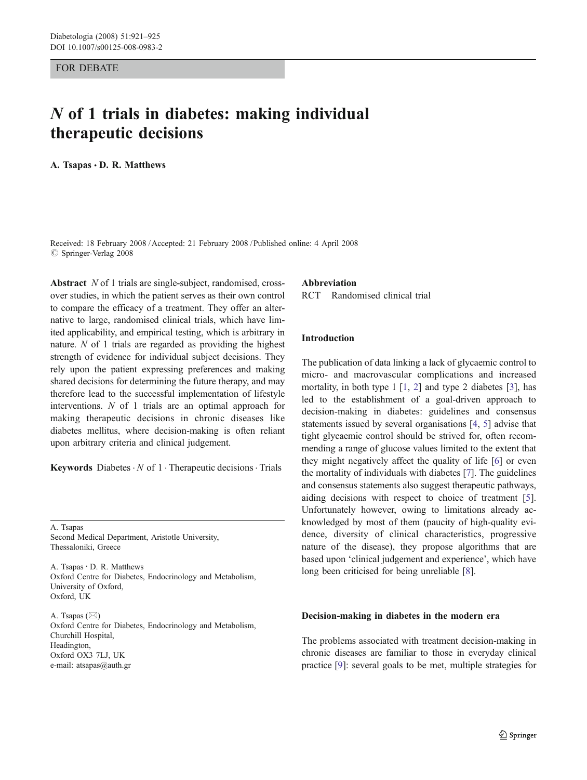FOR DEBATE

# N of 1 trials in diabetes: making individual therapeutic decisions

A. Tsapas *&* D. R. Matthews

Received: 18 February 2008 /Accepted: 21 February 2008 / Published online: 4 April 2008  $\oslash$  Springer-Verlag 2008

Abstract N of 1 trials are single-subject, randomised, crossover studies, in which the patient serves as their own control to compare the efficacy of a treatment. They offer an alternative to large, randomised clinical trials, which have limited applicability, and empirical testing, which is arbitrary in nature. N of 1 trials are regarded as providing the highest strength of evidence for individual subject decisions. They rely upon the patient expressing preferences and making shared decisions for determining the future therapy, and may therefore lead to the successful implementation of lifestyle interventions. N of 1 trials are an optimal approach for making therapeutic decisions in chronic diseases like diabetes mellitus, where decision-making is often reliant upon arbitrary criteria and clinical judgement.

Keywords Diabetes  $\cdot N$  of  $1 \cdot$  Therapeutic decisions  $\cdot$  Trials

A. Tsapas Second Medical Department, Aristotle University, Thessaloniki, Greece

A. Tsapas*:* D. R. Matthews Oxford Centre for Diabetes, Endocrinology and Metabolism, University of Oxford, Oxford, UK

A. Tsapas  $(\boxtimes)$ Oxford Centre for Diabetes, Endocrinology and Metabolism, Churchill Hospital, Headington, Oxford OX3 7LJ, UK e-mail: atsapas@auth.gr

#### Abbreviation

RCT Randomised clinical trial

# Introduction

The publication of data linking a lack of glycaemic control to micro- and macrovascular complications and increased mortality, in both type 1 [[1,](#page-4-0) [2\]](#page-4-0) and type 2 diabetes [\[3\]](#page-4-0), has led to the establishment of a goal-driven approach to decision-making in diabetes: guidelines and consensus statements issued by several organisations [[4,](#page-4-0) [5](#page-4-0)] advise that tight glycaemic control should be strived for, often recommending a range of glucose values limited to the extent that they might negatively affect the quality of life [[6\]](#page-4-0) or even the mortality of individuals with diabetes [\[7](#page-4-0)]. The guidelines and consensus statements also suggest therapeutic pathways, aiding decisions with respect to choice of treatment [[5\]](#page-4-0). Unfortunately however, owing to limitations already acknowledged by most of them (paucity of high-quality evidence, diversity of clinical characteristics, progressive nature of the disease), they propose algorithms that are based upon 'clinical judgement and experience', which have long been criticised for being unreliable [\[8](#page-4-0)].

#### Decision-making in diabetes in the modern era

The problems associated with treatment decision-making in chronic diseases are familiar to those in everyday clinical practice [[9\]](#page-4-0): several goals to be met, multiple strategies for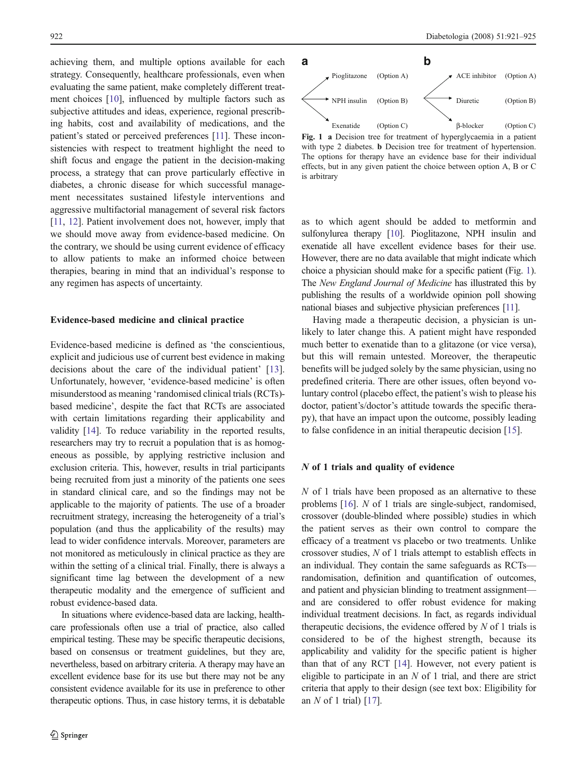<span id="page-1-0"></span>achieving them, and multiple options available for each strategy. Consequently, healthcare professionals, even when evaluating the same patient, make completely different treatment choices [[10\]](#page-4-0), influenced by multiple factors such as subjective attitudes and ideas, experience, regional prescribing habits, cost and availability of medications, and the patient's stated or perceived preferences [\[11](#page-4-0)]. These inconsistencies with respect to treatment highlight the need to shift focus and engage the patient in the decision-making process, a strategy that can prove particularly effective in diabetes, a chronic disease for which successful management necessitates sustained lifestyle interventions and aggressive multifactorial management of several risk factors [\[11,](#page-4-0) [12](#page-4-0)]. Patient involvement does not, however, imply that we should move away from evidence-based medicine. On the contrary, we should be using current evidence of efficacy to allow patients to make an informed choice between therapies, bearing in mind that an individual's response to any regimen has aspects of uncertainty.

# Evidence-based medicine and clinical practice

Evidence-based medicine is defined as 'the conscientious, explicit and judicious use of current best evidence in making decisions about the care of the individual patient' [\[13](#page-4-0)]. Unfortunately, however, 'evidence-based medicine' is often misunderstood as meaning 'randomised clinical trials (RCTs) based medicine', despite the fact that RCTs are associated with certain limitations regarding their applicability and validity [[14](#page-4-0)]. To reduce variability in the reported results, researchers may try to recruit a population that is as homogeneous as possible, by applying restrictive inclusion and exclusion criteria. This, however, results in trial participants being recruited from just a minority of the patients one sees in standard clinical care, and so the findings may not be applicable to the majority of patients. The use of a broader recruitment strategy, increasing the heterogeneity of a trial's population (and thus the applicability of the results) may lead to wider confidence intervals. Moreover, parameters are not monitored as meticulously in clinical practice as they are within the setting of a clinical trial. Finally, there is always a significant time lag between the development of a new therapeutic modality and the emergence of sufficient and robust evidence-based data.

In situations where evidence-based data are lacking, healthcare professionals often use a trial of practice, also called empirical testing. These may be specific therapeutic decisions, based on consensus or treatment guidelines, but they are, nevertheless, based on arbitrary criteria. A therapy may have an excellent evidence base for its use but there may not be any consistent evidence available for its use in preference to other therapeutic options. Thus, in case history terms, it is debatable



Fig. 1 a Decision tree for treatment of hyperglycaemia in a patient with type 2 diabetes. **b** Decision tree for treatment of hypertension. The options for therapy have an evidence base for their individual effects, but in any given patient the choice between option A, B or C is arbitrary

as to which agent should be added to metformin and sulfonylurea therapy [\[10\]](#page-4-0). Pioglitazone, NPH insulin and exenatide all have excellent evidence bases for their use. However, there are no data available that might indicate which choice a physician should make for a specific patient (Fig. 1). The New England Journal of Medicine has illustrated this by publishing the results of a worldwide opinion poll showing national biases and subjective physician preferences [\[11](#page-4-0)].

Having made a therapeutic decision, a physician is unlikely to later change this. A patient might have responded much better to exenatide than to a glitazone (or vice versa), but this will remain untested. Moreover, the therapeutic benefits will be judged solely by the same physician, using no predefined criteria. There are other issues, often beyond voluntary control (placebo effect, the patient's wish to please his doctor, patient's/doctor's attitude towards the specific therapy), that have an impact upon the outcome, possibly leading to false confidence in an initial therapeutic decision [[15\]](#page-4-0).

## N of 1 trials and quality of evidence

N of 1 trials have been proposed as an alternative to these problems [\[16](#page-4-0)]. N of 1 trials are single-subject, randomised, crossover (double-blinded where possible) studies in which the patient serves as their own control to compare the efficacy of a treatment vs placebo or two treatments. Unlike crossover studies, N of 1 trials attempt to establish effects in an individual. They contain the same safeguards as RCTs randomisation, definition and quantification of outcomes, and patient and physician blinding to treatment assignment and are considered to offer robust evidence for making individual treatment decisions. In fact, as regards individual therapeutic decisions, the evidence offered by  $N$  of 1 trials is considered to be of the highest strength, because its applicability and validity for the specific patient is higher than that of any RCT [\[14\]](#page-4-0). However, not every patient is eligible to participate in an  $N$  of 1 trial, and there are strict criteria that apply to their design (see text box: Eligibility for an  $N$  of 1 trial) [[17](#page-4-0)].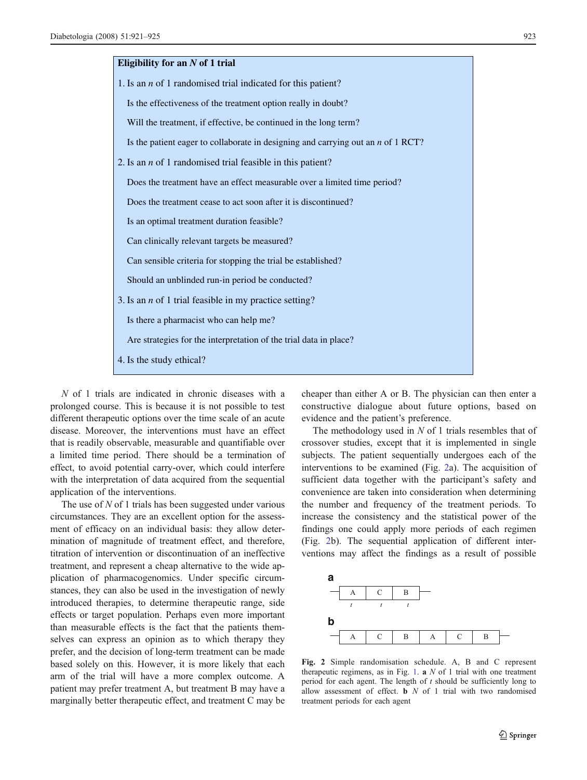

N of 1 trials are indicated in chronic diseases with a prolonged course. This is because it is not possible to test different therapeutic options over the time scale of an acute disease. Moreover, the interventions must have an effect that is readily observable, measurable and quantifiable over a limited time period. There should be a termination of effect, to avoid potential carry-over, which could interfere with the interpretation of data acquired from the sequential application of the interventions.

The use of  $N$  of 1 trials has been suggested under various circumstances. They are an excellent option for the assessment of efficacy on an individual basis: they allow determination of magnitude of treatment effect, and therefore, titration of intervention or discontinuation of an ineffective treatment, and represent a cheap alternative to the wide application of pharmacogenomics. Under specific circumstances, they can also be used in the investigation of newly introduced therapies, to determine therapeutic range, side effects or target population. Perhaps even more important than measurable effects is the fact that the patients themselves can express an opinion as to which therapy they prefer, and the decision of long-term treatment can be made based solely on this. However, it is more likely that each arm of the trial will have a more complex outcome. A patient may prefer treatment A, but treatment B may have a marginally better therapeutic effect, and treatment C may be cheaper than either A or B. The physician can then enter a constructive dialogue about future options, based on evidence and the patient's preference.

The methodology used in  $N$  of 1 trials resembles that of crossover studies, except that it is implemented in single subjects. The patient sequentially undergoes each of the interventions to be examined (Fig. 2a). The acquisition of sufficient data together with the participant's safety and convenience are taken into consideration when determining the number and frequency of the treatment periods. To increase the consistency and the statistical power of the findings one could apply more periods of each regimen (Fig. 2b). The sequential application of different interventions may affect the findings as a result of possible



Fig. 2 Simple randomisation schedule. A, B and C represent therapeutic regimens, as in Fig. [1](#page-1-0). a N of 1 trial with one treatment period for each agent. The length of  $t$  should be sufficiently long to allow assessment of effect.  $\mathbf{b}$  N of 1 trial with two randomised treatment periods for each agent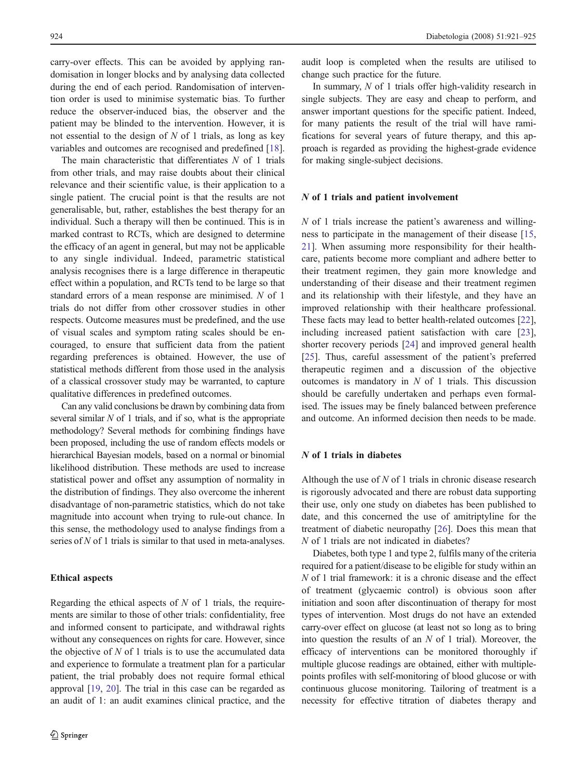carry-over effects. This can be avoided by applying randomisation in longer blocks and by analysing data collected during the end of each period. Randomisation of intervention order is used to minimise systematic bias. To further reduce the observer-induced bias, the observer and the patient may be blinded to the intervention. However, it is not essential to the design of  $N$  of 1 trials, as long as key variables and outcomes are recognised and predefined [\[18](#page-4-0)].

The main characteristic that differentiates  $N$  of 1 trials from other trials, and may raise doubts about their clinical relevance and their scientific value, is their application to a single patient. The crucial point is that the results are not generalisable, but, rather, establishes the best therapy for an individual. Such a therapy will then be continued. This is in marked contrast to RCTs, which are designed to determine the efficacy of an agent in general, but may not be applicable to any single individual. Indeed, parametric statistical analysis recognises there is a large difference in therapeutic effect within a population, and RCTs tend to be large so that standard errors of a mean response are minimised. N of 1 trials do not differ from other crossover studies in other respects. Outcome measures must be predefined, and the use of visual scales and symptom rating scales should be encouraged, to ensure that sufficient data from the patient regarding preferences is obtained. However, the use of statistical methods different from those used in the analysis of a classical crossover study may be warranted, to capture qualitative differences in predefined outcomes.

Can any valid conclusions be drawn by combining data from several similar  $N$  of 1 trials, and if so, what is the appropriate methodology? Several methods for combining findings have been proposed, including the use of random effects models or hierarchical Bayesian models, based on a normal or binomial likelihood distribution. These methods are used to increase statistical power and offset any assumption of normality in the distribution of findings. They also overcome the inherent disadvantage of non-parametric statistics, which do not take magnitude into account when trying to rule-out chance. In this sense, the methodology used to analyse findings from a series of  $N$  of 1 trials is similar to that used in meta-analyses.

#### Ethical aspects

Regarding the ethical aspects of  $N$  of 1 trials, the requirements are similar to those of other trials: confidentiality, free and informed consent to participate, and withdrawal rights without any consequences on rights for care. However, since the objective of  $N$  of 1 trials is to use the accumulated data and experience to formulate a treatment plan for a particular patient, the trial probably does not require formal ethical approval [[19,](#page-4-0) [20\]](#page-4-0). The trial in this case can be regarded as an audit of 1: an audit examines clinical practice, and the

audit loop is completed when the results are utilised to change such practice for the future.

In summary, N of 1 trials offer high-validity research in single subjects. They are easy and cheap to perform, and answer important questions for the specific patient. Indeed, for many patients the result of the trial will have ramifications for several years of future therapy, and this approach is regarded as providing the highest-grade evidence for making single-subject decisions.

# N of 1 trials and patient involvement

N of 1 trials increase the patient's awareness and willingness to participate in the management of their disease [[15,](#page-4-0) [21](#page-4-0)]. When assuming more responsibility for their healthcare, patients become more compliant and adhere better to their treatment regimen, they gain more knowledge and understanding of their disease and their treatment regimen and its relationship with their lifestyle, and they have an improved relationship with their healthcare professional. These facts may lead to better health-related outcomes [[22\]](#page-4-0), including increased patient satisfaction with care [\[23\]](#page-4-0), shorter recovery periods [\[24](#page-4-0)] and improved general health [\[25](#page-4-0)]. Thus, careful assessment of the patient's preferred therapeutic regimen and a discussion of the objective outcomes is mandatory in  $N$  of 1 trials. This discussion should be carefully undertaken and perhaps even formalised. The issues may be finely balanced between preference and outcome. An informed decision then needs to be made.

#### N of 1 trials in diabetes

Although the use of  $N$  of 1 trials in chronic disease research is rigorously advocated and there are robust data supporting their use, only one study on diabetes has been published to date, and this concerned the use of amitriptyline for the treatment of diabetic neuropathy [\[26](#page-4-0)]. Does this mean that N of 1 trials are not indicated in diabetes?

Diabetes, both type 1 and type 2, fulfils many of the criteria required for a patient/disease to be eligible for study within an N of 1 trial framework: it is a chronic disease and the effect of treatment (glycaemic control) is obvious soon after initiation and soon after discontinuation of therapy for most types of intervention. Most drugs do not have an extended carry-over effect on glucose (at least not so long as to bring into question the results of an  $N$  of 1 trial). Moreover, the efficacy of interventions can be monitored thoroughly if multiple glucose readings are obtained, either with multiplepoints profiles with self-monitoring of blood glucose or with continuous glucose monitoring. Tailoring of treatment is a necessity for effective titration of diabetes therapy and